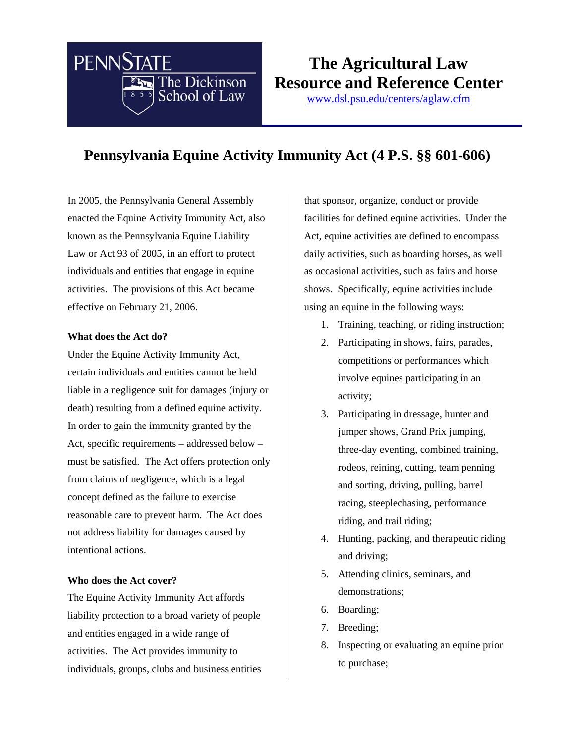

# **The Agricultural Law Resource and Reference Center**

www.dsl.psu.edu/centers/aglaw.cfm

## **Pennsylvania Equine Activity Immunity Act (4 P.S. §§ 601-606)**

In 2005, the Pennsylvania General Assembly enacted the Equine Activity Immunity Act, also known as the Pennsylvania Equine Liability Law or Act 93 of 2005, in an effort to protect individuals and entities that engage in equine activities. The provisions of this Act became effective on February 21, 2006.

#### **What does the Act do?**

Under the Equine Activity Immunity Act, certain individuals and entities cannot be held liable in a negligence suit for damages (injury or death) resulting from a defined equine activity. In order to gain the immunity granted by the Act, specific requirements – addressed below – must be satisfied. The Act offers protection only from claims of negligence, which is a legal concept defined as the failure to exercise reasonable care to prevent harm. The Act does not address liability for damages caused by intentional actions.

#### **Who does the Act cover?**

The Equine Activity Immunity Act affords liability protection to a broad variety of people and entities engaged in a wide range of activities. The Act provides immunity to individuals, groups, clubs and business entities that sponsor, organize, conduct or provide facilities for defined equine activities. Under the Act, equine activities are defined to encompass daily activities, such as boarding horses, as well as occasional activities, such as fairs and horse shows. Specifically, equine activities include using an equine in the following ways:

- 1. Training, teaching, or riding instruction;
- 2. Participating in shows, fairs, parades, competitions or performances which involve equines participating in an activity;
- 3. Participating in dressage, hunter and jumper shows, Grand Prix jumping, three-day eventing, combined training, rodeos, reining, cutting, team penning and sorting, driving, pulling, barrel racing, steeplechasing, performance riding, and trail riding;
- 4. Hunting, packing, and therapeutic riding and driving;
- 5. Attending clinics, seminars, and demonstrations;
- 6. Boarding;
- 7. Breeding;
- 8. Inspecting or evaluating an equine prior to purchase;